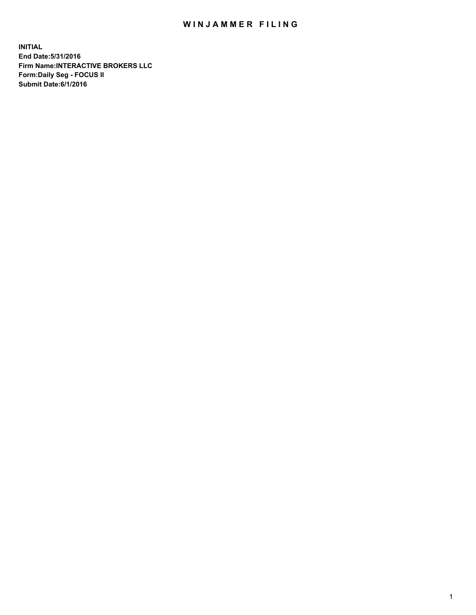## WIN JAMMER FILING

**INITIAL End Date:5/31/2016 Firm Name:INTERACTIVE BROKERS LLC Form:Daily Seg - FOCUS II Submit Date:6/1/2016**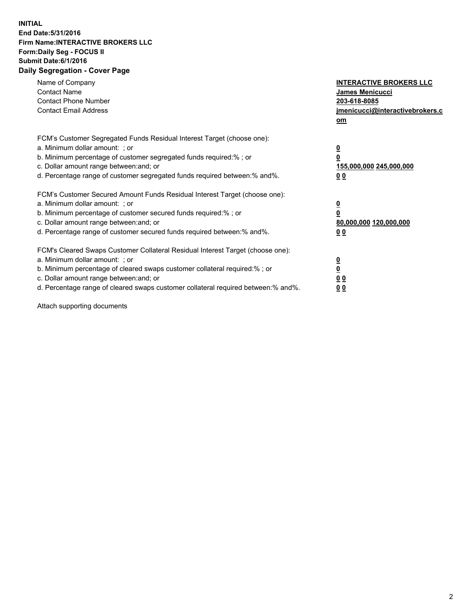## **INITIAL End Date:5/31/2016 Firm Name:INTERACTIVE BROKERS LLC Form:Daily Seg - FOCUS II Submit Date:6/1/2016 Daily Segregation - Cover Page**

| Name of Company<br><b>Contact Name</b><br><b>Contact Phone Number</b><br><b>Contact Email Address</b>                                                                                                                                                                                                                          | <b>INTERACTIVE BROKERS LLC</b><br><b>James Menicucci</b><br>203-618-8085<br>jmenicucci@interactivebrokers.c<br>om |
|--------------------------------------------------------------------------------------------------------------------------------------------------------------------------------------------------------------------------------------------------------------------------------------------------------------------------------|-------------------------------------------------------------------------------------------------------------------|
| FCM's Customer Segregated Funds Residual Interest Target (choose one):<br>a. Minimum dollar amount: ; or<br>b. Minimum percentage of customer segregated funds required:% ; or<br>c. Dollar amount range between: and; or<br>d. Percentage range of customer segregated funds required between:% and%.                         | $\overline{\mathbf{0}}$<br>0<br>155,000,000 245,000,000<br>0 <sub>0</sub>                                         |
| FCM's Customer Secured Amount Funds Residual Interest Target (choose one):<br>a. Minimum dollar amount: ; or<br>b. Minimum percentage of customer secured funds required:%; or<br>c. Dollar amount range between: and; or<br>d. Percentage range of customer secured funds required between: % and %.                          | $\overline{\mathbf{0}}$<br>$\overline{\mathbf{0}}$<br>80,000,000 120,000,000<br>00                                |
| FCM's Cleared Swaps Customer Collateral Residual Interest Target (choose one):<br>a. Minimum dollar amount: ; or<br>b. Minimum percentage of cleared swaps customer collateral required:% ; or<br>c. Dollar amount range between: and; or<br>d. Percentage range of cleared swaps customer collateral required between:% and%. | $\overline{\mathbf{0}}$<br>$\overline{\mathbf{0}}$<br>0 <sub>0</sub><br>0 <sub>0</sub>                            |

Attach supporting documents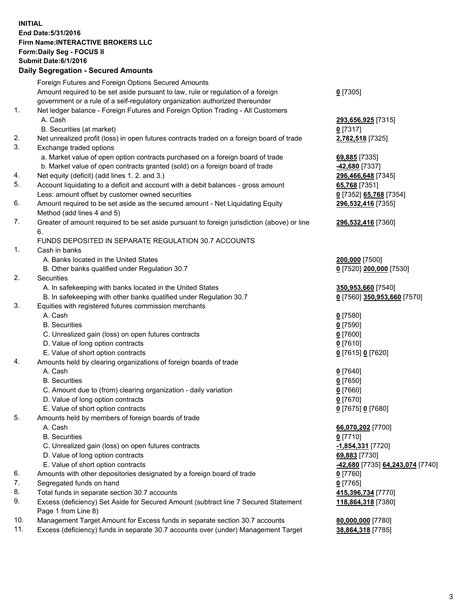## **INITIAL End Date:5/31/2016 Firm Name:INTERACTIVE BROKERS LLC Form:Daily Seg - FOCUS II Submit Date:6/1/2016 Daily Segregation - Secured Amounts**

|     | Foreign Futures and Foreign Options Secured Amounts                                                        |                                  |
|-----|------------------------------------------------------------------------------------------------------------|----------------------------------|
|     | Amount required to be set aside pursuant to law, rule or regulation of a foreign                           | $0$ [7305]                       |
|     | government or a rule of a self-regulatory organization authorized thereunder                               |                                  |
| 1.  | Net ledger balance - Foreign Futures and Foreign Option Trading - All Customers                            |                                  |
|     | A. Cash                                                                                                    | 293,656,925 [7315]               |
|     | B. Securities (at market)                                                                                  | 0 [7317]                         |
| 2.  | Net unrealized profit (loss) in open futures contracts traded on a foreign board of trade                  | 2,782,518 [7325]                 |
| 3.  | Exchange traded options                                                                                    |                                  |
|     | a. Market value of open option contracts purchased on a foreign board of trade                             | 69,885 [7335]                    |
|     | b. Market value of open contracts granted (sold) on a foreign board of trade                               | -42,680 [7337]                   |
| 4.  | Net equity (deficit) (add lines 1. 2. and 3.)                                                              | 296,466,648 [7345]               |
| 5.  | Account liquidating to a deficit and account with a debit balances - gross amount                          | 65,768 [7351]                    |
|     | Less: amount offset by customer owned securities                                                           | 0 [7352] 65,768 [7354]           |
| 6.  | Amount required to be set aside as the secured amount - Net Liquidating Equity                             | 296,532,416 [7355]               |
|     | Method (add lines 4 and 5)                                                                                 |                                  |
| 7.  | Greater of amount required to be set aside pursuant to foreign jurisdiction (above) or line                | 296,532,416 [7360]               |
|     | 6.                                                                                                         |                                  |
|     | FUNDS DEPOSITED IN SEPARATE REGULATION 30.7 ACCOUNTS                                                       |                                  |
| 1.  | Cash in banks                                                                                              |                                  |
|     | A. Banks located in the United States                                                                      | 200,000 [7500]                   |
|     | B. Other banks qualified under Regulation 30.7                                                             | 0 [7520] 200,000 [7530]          |
| 2.  | Securities                                                                                                 |                                  |
|     | A. In safekeeping with banks located in the United States                                                  | 350,953,660 [7540]               |
|     | B. In safekeeping with other banks qualified under Regulation 30.7                                         | 0 [7560] 350,953,660 [7570]      |
| 3.  | Equities with registered futures commission merchants                                                      |                                  |
|     | A. Cash                                                                                                    | $0$ [7580]                       |
|     | <b>B.</b> Securities                                                                                       | $0$ [7590]                       |
|     | C. Unrealized gain (loss) on open futures contracts                                                        | $0$ [7600]                       |
|     | D. Value of long option contracts                                                                          | $0$ [7610]                       |
|     | E. Value of short option contracts                                                                         | 0 [7615] 0 [7620]                |
| 4.  | Amounts held by clearing organizations of foreign boards of trade                                          |                                  |
|     | A. Cash                                                                                                    | $0$ [7640]                       |
|     | <b>B.</b> Securities                                                                                       | $0$ [7650]                       |
|     | C. Amount due to (from) clearing organization - daily variation                                            | $0$ [7660]                       |
|     | D. Value of long option contracts                                                                          | $0$ [7670]                       |
|     | E. Value of short option contracts                                                                         | 0 [7675] 0 [7680]                |
| 5.  | Amounts held by members of foreign boards of trade                                                         |                                  |
|     | A. Cash                                                                                                    | 66,070,202 [7700]                |
|     | <b>B.</b> Securities                                                                                       | $0$ [7710]                       |
|     | C. Unrealized gain (loss) on open futures contracts                                                        | -1,854,331 [7720]                |
|     | D. Value of long option contracts                                                                          | 69,883 [7730]                    |
|     | E. Value of short option contracts                                                                         | -42,680 [7735] 64,243,074 [7740] |
| 6.  | Amounts with other depositories designated by a foreign board of trade                                     | 0 [7760]                         |
| 7.  | Segregated funds on hand                                                                                   | $0$ [7765]                       |
| 8.  | Total funds in separate section 30.7 accounts                                                              | 415,396,734 [7770]               |
| 9.  | Excess (deficiency) Set Aside for Secured Amount (subtract line 7 Secured Statement<br>Page 1 from Line 8) | 118,864,318 [7380]               |
| 10. | Management Target Amount for Excess funds in separate section 30.7 accounts                                | 80,000,000 [7780]                |
| 11. | Excess (deficiency) funds in separate 30.7 accounts over (under) Management Target                         | 38,864,318 [7785]                |
|     |                                                                                                            |                                  |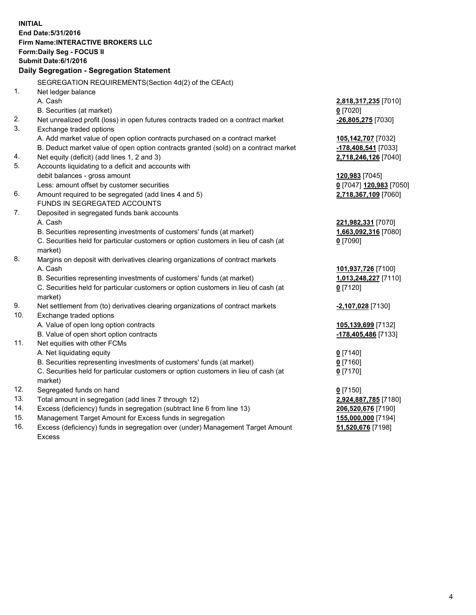**INITIAL End Date:5/31/2016 Firm Name:INTERACTIVE BROKERS LLC Form:Daily Seg - FOCUS II Submit Date:6/1/2016 Daily Segregation - Segregation Statement** SEGREGATION REQUIREMENTS(Section 4d(2) of the CEAct) 1. Net ledger balance A. Cash **2,818,317,235** [7010] B. Securities (at market) **0** [7020] 2. Net unrealized profit (loss) in open futures contracts traded on a contract market **-26,805,275** [7030] 3. Exchange traded options A. Add market value of open option contracts purchased on a contract market **105,142,707** [7032] B. Deduct market value of open option contracts granted (sold) on a contract market **-178,408,541** [7033] 4. Net equity (deficit) (add lines 1, 2 and 3) **2,718,246,126** [7040] 5. Accounts liquidating to a deficit and accounts with debit balances - gross amount **120,983** [7045] Less: amount offset by customer securities **0** [7047] **120,983** [7050] 6. Amount required to be segregated (add lines 4 and 5) **2,718,367,109** [7060] FUNDS IN SEGREGATED ACCOUNTS 7. Deposited in segregated funds bank accounts A. Cash **221,982,331** [7070] B. Securities representing investments of customers' funds (at market) **1,663,092,316** [7080] C. Securities held for particular customers or option customers in lieu of cash (at market) **0** [7090] 8. Margins on deposit with derivatives clearing organizations of contract markets A. Cash **101,937,726** [7100] B. Securities representing investments of customers' funds (at market) **1,013,248,227** [7110] C. Securities held for particular customers or option customers in lieu of cash (at market) **0** [7120] 9. Net settlement from (to) derivatives clearing organizations of contract markets **-2,107,028** [7130] 10. Exchange traded options A. Value of open long option contracts **105,139,699** [7132] B. Value of open short option contracts **-178,405,486** [7133] 11. Net equities with other FCMs A. Net liquidating equity **0** [7140] B. Securities representing investments of customers' funds (at market) **0** [7160] C. Securities held for particular customers or option customers in lieu of cash (at market) **0** [7170] 12. Segregated funds on hand **0** [7150] 13. Total amount in segregation (add lines 7 through 12) **2,924,887,785** [7180] 14. Excess (deficiency) funds in segregation (subtract line 6 from line 13) **206,520,676** [7190] 15. Management Target Amount for Excess funds in segregation **155,000,000** [7194]

16. Excess (deficiency) funds in segregation over (under) Management Target Amount Excess

**51,520,676** [7198]